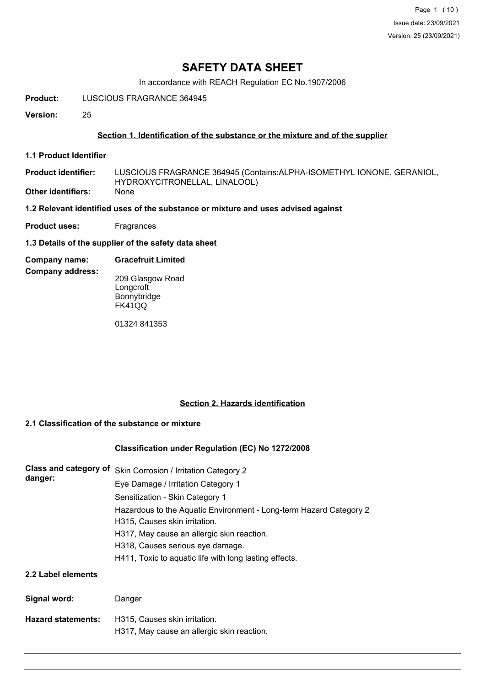# **SAFETY DATA SHEET**

In accordance with REACH Regulation EC No.1907/2006

**Product:** LUSCIOUS FRAGRANCE 364945

**Version:** 25

## **Section 1. Identification of the substance or the mixture and of the supplier**

**1.1 Product Identifier**

LUSCIOUS FRAGRANCE 364945 (Contains:ALPHA-ISOMETHYL IONONE, GERANIOL, HYDROXYCITRONELLAL, LINALOOL) **Product identifier:**

**Other identifiers:** None

**1.2 Relevant identified uses of the substance or mixture and uses advised against**

**Product uses:** Fragrances

**1.3 Details of the supplier of the safety data sheet**

#### **Company name: Gracefruit Limited**

**Company address:**

209 Glasgow Road Longcroft Bonnybridge FK41QQ

01324 841353

## **Section 2. Hazards identification**

### **2.1 Classification of the substance or mixture**

### **Classification under Regulation (EC) No 1272/2008**

| Class and category of<br>danger: | Skin Corrosion / Irritation Category 2                             |  |  |  |  |
|----------------------------------|--------------------------------------------------------------------|--|--|--|--|
|                                  | Eye Damage / Irritation Category 1                                 |  |  |  |  |
|                                  | Sensitization - Skin Category 1                                    |  |  |  |  |
|                                  | Hazardous to the Aquatic Environment - Long-term Hazard Category 2 |  |  |  |  |
|                                  | H315, Causes skin irritation.                                      |  |  |  |  |
|                                  | H317, May cause an allergic skin reaction.                         |  |  |  |  |
|                                  | H318, Causes serious eye damage.                                   |  |  |  |  |
|                                  | H411, Toxic to aquatic life with long lasting effects.             |  |  |  |  |
| 2.2 Label elements               |                                                                    |  |  |  |  |
| Signal word:                     | Danger                                                             |  |  |  |  |
| <b>Hazard statements:</b>        | H315, Causes skin irritation.                                      |  |  |  |  |

H317, May cause an allergic skin reaction.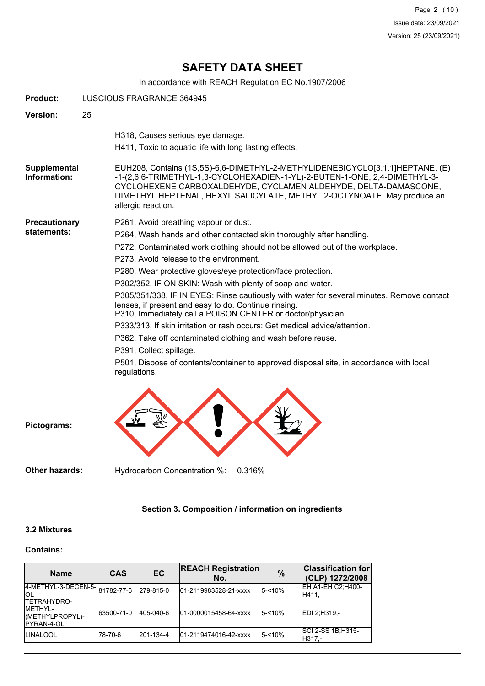Page 2 (10) Issue date: 23/09/2021 Version: 25 (23/09/2021)

# **SAFETY DATA SHEET**

In accordance with REACH Regulation EC No.1907/2006

| <b>Product:</b>              | LUSCIOUS FRAGRANCE 364945                                                                                                                                                                                                                                                                                                                                                                                                                                                                                                                                                                                                                                                                                                                                                                                                                                                    |  |  |  |  |
|------------------------------|------------------------------------------------------------------------------------------------------------------------------------------------------------------------------------------------------------------------------------------------------------------------------------------------------------------------------------------------------------------------------------------------------------------------------------------------------------------------------------------------------------------------------------------------------------------------------------------------------------------------------------------------------------------------------------------------------------------------------------------------------------------------------------------------------------------------------------------------------------------------------|--|--|--|--|
| Version:                     | 25                                                                                                                                                                                                                                                                                                                                                                                                                                                                                                                                                                                                                                                                                                                                                                                                                                                                           |  |  |  |  |
|                              | H318, Causes serious eye damage.<br>H411, Toxic to aquatic life with long lasting effects.                                                                                                                                                                                                                                                                                                                                                                                                                                                                                                                                                                                                                                                                                                                                                                                   |  |  |  |  |
| Supplemental<br>Information: | EUH208, Contains (1S,5S)-6,6-DIMETHYL-2-METHYLIDENEBICYCLO[3.1.1]HEPTANE, (E)<br>-1-(2,6,6-TRIMETHYL-1,3-CYCLOHEXADIEN-1-YL)-2-BUTEN-1-ONE, 2,4-DIMETHYL-3-<br>CYCLOHEXENE CARBOXALDEHYDE, CYCLAMEN ALDEHYDE, DELTA-DAMASCONE,<br>DIMETHYL HEPTENAL, HEXYL SALICYLATE, METHYL 2-OCTYNOATE. May produce an<br>allergic reaction.                                                                                                                                                                                                                                                                                                                                                                                                                                                                                                                                              |  |  |  |  |
| Precautionary<br>statements: | P261, Avoid breathing vapour or dust.<br>P264, Wash hands and other contacted skin thoroughly after handling.<br>P272, Contaminated work clothing should not be allowed out of the workplace.<br>P273, Avoid release to the environment.<br>P280, Wear protective gloves/eye protection/face protection.<br>P302/352, IF ON SKIN: Wash with plenty of soap and water.<br>P305/351/338, IF IN EYES: Rinse cautiously with water for several minutes. Remove contact<br>lenses, if present and easy to do. Continue rinsing.<br>P310, Immediately call a POISON CENTER or doctor/physician.<br>P333/313, If skin irritation or rash occurs: Get medical advice/attention.<br>P362, Take off contaminated clothing and wash before reuse.<br>P391, Collect spillage.<br>P501, Dispose of contents/container to approved disposal site, in accordance with local<br>regulations. |  |  |  |  |
| Pictograms:                  |                                                                                                                                                                                                                                                                                                                                                                                                                                                                                                                                                                                                                                                                                                                                                                                                                                                                              |  |  |  |  |

**Other hazards:** Hydrocarbon Concentration %: 0.316%

## **Section 3. Composition / information on ingredients**

## **3.2 Mixtures**

### **Contains:**

| <b>Name</b>                                                                    | <b>CAS</b> | <b>EC</b> | <b>REACH Registration</b><br>No. | $\frac{0}{0}$ | <b>Classification for</b><br>(CLP) 1272/2008 |
|--------------------------------------------------------------------------------|------------|-----------|----------------------------------|---------------|----------------------------------------------|
| 4-METHYL-3-DECEN-5- 81782-77-6<br>IOL                                          |            | 279-815-0 | 01-2119983528-21-xxxx            | $5 - 10%$     | EH A1-EH C2; H400-<br>H411.-                 |
| <b>TETRAHYDRO-</b><br><b>IMETHYL-</b><br>(METHYLPROPYL)-<br><b>IPYRAN-4-OL</b> | 63500-71-0 | 405-040-6 | 01-0000015458-64-xxxx            | $5 - 10%$     | EDI 2; H319,-                                |
| <b>LINALOOL</b>                                                                | 178-70-6   | 201-134-4 | 01-2119474016-42-xxxx            | $5 - 10%$     | <b>SCI 2-SS 1B:H315-</b><br>IH317.-          |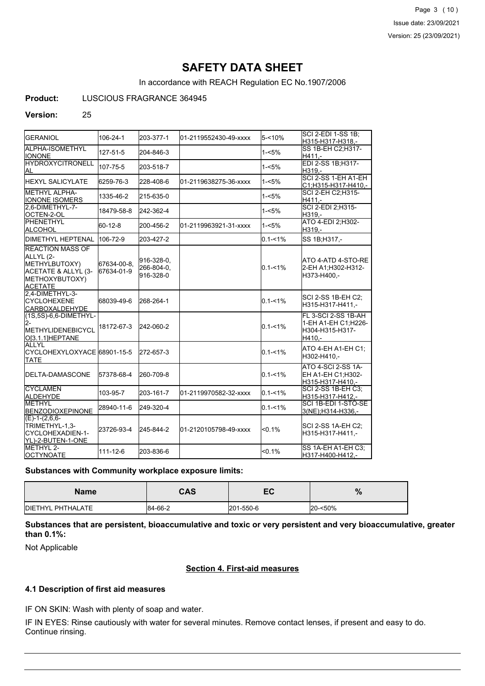Page 3 (10) Issue date: 23/09/2021 Version: 25 (23/09/2021)

# **SAFETY DATA SHEET**

In accordance with REACH Regulation EC No.1907/2006

### **Product:** LUSCIOUS FRAGRANCE 364945

#### **Version:** 25

| GERANIOL                                                                                                         | 106-24-1                  | 203-377-1                             | 01-2119552430-49-xxxx | 5-<10%      | <b>SCI 2-EDI 1-SS 1B:</b><br>H315-H317-H318,-                           |
|------------------------------------------------------------------------------------------------------------------|---------------------------|---------------------------------------|-----------------------|-------------|-------------------------------------------------------------------------|
| ALPHA-ISOMETHYL<br><b>I</b> IONONE                                                                               | 127-51-5                  | 204-846-3                             |                       | $1 - 5%$    | SS 1B-EH C2:H317-<br>H411.-                                             |
| <b>HYDROXYCITRONELL</b><br>AL.                                                                                   | 107-75-5                  | 203-518-7                             |                       | $1 - 5%$    | EDI 2-SS 1B:H317-<br>H319.-                                             |
| IHEXYL SALICYLATE                                                                                                | 6259-76-3                 | 228-408-6                             | 01-2119638275-36-xxxx | $1 - 5%$    | SCI 2-SS 1-EH A1-EH<br>C1;H315-H317-H410,-                              |
| METHYL ALPHA-<br><b>IONONE ISOMERS</b>                                                                           | 1335-46-2                 | 215-635-0                             |                       | $1 - 5%$    | SCI 2-EH C2; H315-<br>H411.-                                            |
| 2.6-DIMETHYL-7-<br><b>I</b> OCTEN-2-OL                                                                           | 18479-58-8                | 242-362-4                             |                       | $1 - 5%$    | SCI 2-EDI 2; H315-<br>H319.-                                            |
| PHENETHYL<br>ALCOHOL                                                                                             | 60-12-8                   | 200-456-2                             | 01-2119963921-31-xxxx | $1 - 5%$    | ATO 4-EDI 2; H302-<br>H319.-                                            |
| <b>I</b> DIMETHYL HEPTENAL                                                                                       | 106-72-9                  | 203-427-2                             |                       | $0.1 - 1\%$ | SS 1B; H317,-                                                           |
| <b>REACTION MASS OF</b><br>ALLYL (2-<br>METHYLBUTOXY)<br>ACETATE & ALLYL (3-<br>METHOXYBUTOXY)<br><b>ACETATE</b> | 67634-00-8,<br>67634-01-9 | 916-328-0,<br>266-804-0,<br>916-328-0 |                       | $0.1 - 1\%$ | ATO 4-ATD 4-STO-RE<br>2-EH A1;H302-H312-<br>H373-H400.-                 |
| 2,4-DIMETHYL-3-<br><b>ICYCLOHEXENE</b><br><b>CARBOXALDEHYDE</b>                                                  | 68039-49-6                | 268-264-1                             |                       | $0.1 - 1%$  | SCI 2-SS 1B-EH C2:<br>H315-H317-H411.-                                  |
| (1S,5S)-6,6-DIMETHYL-<br>l2-<br><b>IMETHYLIDENEBICYCL</b><br>O[3.1.1]HEPTANE                                     | 18172-67-3                | 242-060-2                             |                       | $0.1 - 1%$  | FL 3-SCI 2-SS 1B-AH<br>1-EH A1-EH C1;H226-<br>H304-H315-H317-<br>H410,- |
| ALLYL<br>CYCLOHEXYLOXYACE 68901-15-5<br><b>TATE</b>                                                              |                           | 272-657-3                             |                       | $0.1 - 1\%$ | ATO 4-EH A1-EH C1:<br>H302-H410,-                                       |
| <b>IDELTA-DAMASCONE</b>                                                                                          | 57378-68-4                | 260-709-8                             |                       | $0.1 - 1\%$ | ATO 4-SCI 2-SS 1A-<br>EH A1-EH C1;H302-<br>H315-H317-H410.-             |
| <b>CYCLAMEN</b><br>ALDEHYDE                                                                                      | 103-95-7                  | 203-161-7                             | 01-2119970582-32-xxxx | $0.1 - 1\%$ | SCI 2-SS 1B-EH C3:<br>H315-H317-H412,-                                  |
| <b>METHYL</b><br><b>BENZODIOXEPINONE</b>                                                                         | 28940-11-6                | 249-320-4                             |                       | $0.1 - 1%$  | SCI 1B-EDI 1-STO-SE<br>3(NE); H314-H336,-                               |
| $(E)-1-(2,6,6-$<br>TRIMETHYL-1,3-<br>CYCLOHEXADIEN-1-<br>IYL)-2-BUTEN-1-ONE                                      | 23726-93-4                | 245-844-2                             | 01-2120105798-49-xxxx | $< 0.1\%$   | <b>SCI 2-SS 1A-EH C2:</b><br>H315-H317-H411.-                           |
| METHYL 2-<br><b>OCTYNOATE</b>                                                                                    | 111-12-6                  | 203-836-6                             |                       | < 0.1%      | SS 1A-EH A1-EH C3;<br>H317-H400-H412,-                                  |

### **Substances with Community workplace exposure limits:**

| <b>Name</b>               | CAS     | — Л<br>cc. | %       |
|---------------------------|---------|------------|---------|
| <b>IDIETHYL PHTHALATE</b> | 84-66-2 | 201-550-6  | 20-<50% |

**Substances that are persistent, bioaccumulative and toxic or very persistent and very bioaccumulative, greater than 0.1%:**

Not Applicable

## **Section 4. First-aid measures**

### **4.1 Description of first aid measures**

IF ON SKIN: Wash with plenty of soap and water.

IF IN EYES: Rinse cautiously with water for several minutes. Remove contact lenses, if present and easy to do. Continue rinsing.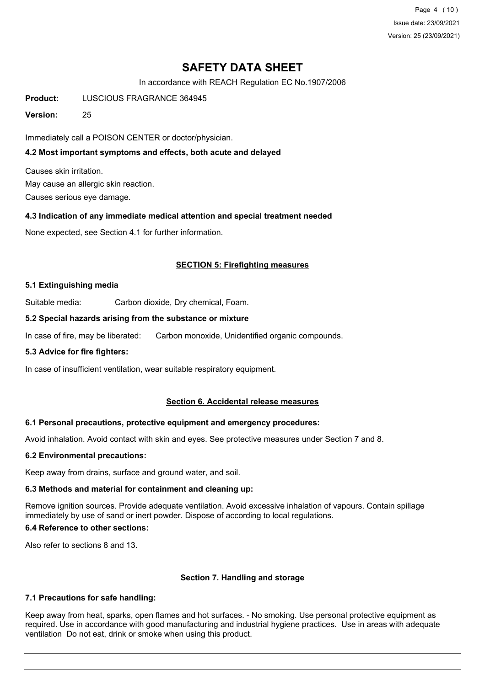Page 4 (10) Issue date: 23/09/2021 Version: 25 (23/09/2021)

# **SAFETY DATA SHEET**

In accordance with REACH Regulation EC No.1907/2006

**Product:** LUSCIOUS FRAGRANCE 364945

**Version:** 25

Immediately call a POISON CENTER or doctor/physician.

## **4.2 Most important symptoms and effects, both acute and delayed**

Causes skin irritation. May cause an allergic skin reaction. Causes serious eye damage.

### **4.3 Indication of any immediate medical attention and special treatment needed**

None expected, see Section 4.1 for further information.

### **SECTION 5: Firefighting measures**

#### **5.1 Extinguishing media**

Suitable media: Carbon dioxide, Dry chemical, Foam.

#### **5.2 Special hazards arising from the substance or mixture**

In case of fire, may be liberated: Carbon monoxide, Unidentified organic compounds.

#### **5.3 Advice for fire fighters:**

In case of insufficient ventilation, wear suitable respiratory equipment.

### **Section 6. Accidental release measures**

### **6.1 Personal precautions, protective equipment and emergency procedures:**

Avoid inhalation. Avoid contact with skin and eyes. See protective measures under Section 7 and 8.

#### **6.2 Environmental precautions:**

Keep away from drains, surface and ground water, and soil.

### **6.3 Methods and material for containment and cleaning up:**

Remove ignition sources. Provide adequate ventilation. Avoid excessive inhalation of vapours. Contain spillage immediately by use of sand or inert powder. Dispose of according to local regulations.

#### **6.4 Reference to other sections:**

Also refer to sections 8 and 13.

### **Section 7. Handling and storage**

### **7.1 Precautions for safe handling:**

Keep away from heat, sparks, open flames and hot surfaces. - No smoking. Use personal protective equipment as required. Use in accordance with good manufacturing and industrial hygiene practices. Use in areas with adequate ventilation Do not eat, drink or smoke when using this product.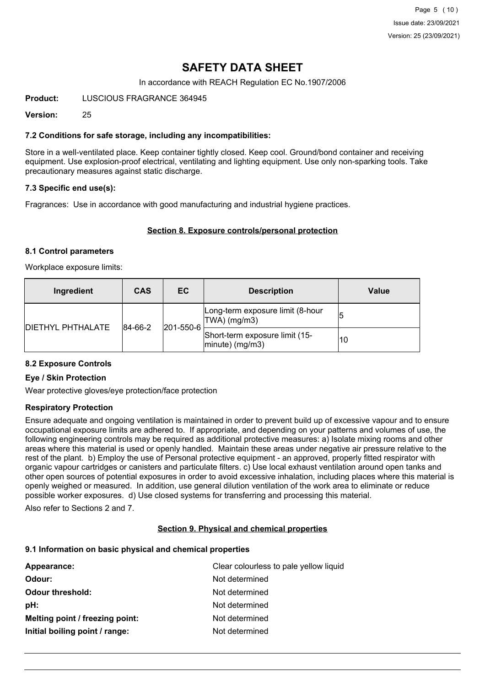# **SAFETY DATA SHEET**

In accordance with REACH Regulation EC No.1907/2006

**Product:** LUSCIOUS FRAGRANCE 364945

**Version:** 25

## **7.2 Conditions for safe storage, including any incompatibilities:**

Store in a well-ventilated place. Keep container tightly closed. Keep cool. Ground/bond container and receiving equipment. Use explosion-proof electrical, ventilating and lighting equipment. Use only non-sparking tools. Take precautionary measures against static discharge.

## **7.3 Specific end use(s):**

Fragrances: Use in accordance with good manufacturing and industrial hygiene practices.

### **Section 8. Exposure controls/personal protection**

### **8.1 Control parameters**

Workplace exposure limits:

| Ingredient               | <b>CAS</b>  | EC.               | <b>Description</b>                                       | Value |
|--------------------------|-------------|-------------------|----------------------------------------------------------|-------|
| <b>DIETHYL PHTHALATE</b> | $ 84-66-2 $ |                   | Long-term exposure limit (8-hour<br>TWA) (mg/m3)         | 15    |
|                          |             | $ 201 - 550 - 6 $ | Short-term exposure limit (15-<br>$ $ minute $ $ (mg/m3) | 10    |

### **8.2 Exposure Controls**

### **Eye / Skin Protection**

Wear protective gloves/eye protection/face protection

### **Respiratory Protection**

Ensure adequate and ongoing ventilation is maintained in order to prevent build up of excessive vapour and to ensure occupational exposure limits are adhered to. If appropriate, and depending on your patterns and volumes of use, the following engineering controls may be required as additional protective measures: a) Isolate mixing rooms and other areas where this material is used or openly handled. Maintain these areas under negative air pressure relative to the rest of the plant. b) Employ the use of Personal protective equipment - an approved, properly fitted respirator with organic vapour cartridges or canisters and particulate filters. c) Use local exhaust ventilation around open tanks and other open sources of potential exposures in order to avoid excessive inhalation, including places where this material is openly weighed or measured. In addition, use general dilution ventilation of the work area to eliminate or reduce possible worker exposures. d) Use closed systems for transferring and processing this material.

Also refer to Sections 2 and 7.

### **Section 9. Physical and chemical properties**

### **9.1 Information on basic physical and chemical properties**

| Appearance:                     | Clear colourless to pale yellow liquid |
|---------------------------------|----------------------------------------|
| Odour:                          | Not determined                         |
| <b>Odour threshold:</b>         | Not determined                         |
| pH:                             | Not determined                         |
| Melting point / freezing point: | Not determined                         |
| Initial boiling point / range:  | Not determined                         |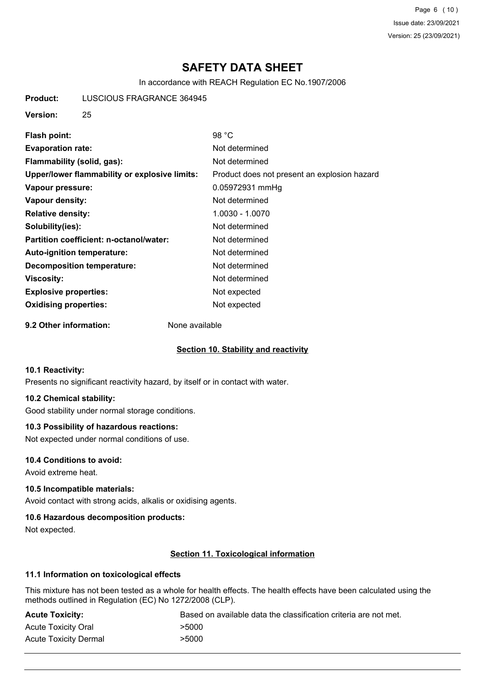Page 6 (10) Issue date: 23/09/2021 Version: 25 (23/09/2021)

# **SAFETY DATA SHEET**

In accordance with REACH Regulation EC No.1907/2006

**Product:** LUSCIOUS FRAGRANCE 364945

**Version:** 25

| Flash point:                                  | 98 °C                                        |
|-----------------------------------------------|----------------------------------------------|
| <b>Evaporation rate:</b>                      | Not determined                               |
| Flammability (solid, gas):                    | Not determined                               |
| Upper/lower flammability or explosive limits: | Product does not present an explosion hazard |
| Vapour pressure:                              | 0.05972931 mmHg                              |
| Vapour density:                               | Not determined                               |
| <b>Relative density:</b>                      | 1.0030 - 1.0070                              |
| Solubility(ies):                              | Not determined                               |
| Partition coefficient: n-octanol/water:       | Not determined                               |
| <b>Auto-ignition temperature:</b>             | Not determined                               |
| <b>Decomposition temperature:</b>             | Not determined                               |
| Viscosity:                                    | Not determined                               |
| <b>Explosive properties:</b>                  | Not expected                                 |
| <b>Oxidising properties:</b>                  | Not expected                                 |
|                                               |                                              |

**9.2 Other information:** None available

### **Section 10. Stability and reactivity**

### **10.1 Reactivity:**

Presents no significant reactivity hazard, by itself or in contact with water.

## **10.2 Chemical stability:**

Good stability under normal storage conditions.

### **10.3 Possibility of hazardous reactions:**

Not expected under normal conditions of use.

### **10.4 Conditions to avoid:**

Avoid extreme heat.

### **10.5 Incompatible materials:**

Avoid contact with strong acids, alkalis or oxidising agents.

### **10.6 Hazardous decomposition products:**

Not expected.

## **Section 11. Toxicological information**

## **11.1 Information on toxicological effects**

This mixture has not been tested as a whole for health effects. The health effects have been calculated using the methods outlined in Regulation (EC) No 1272/2008 (CLP).

| <b>Acute Toxicity:</b>     | Based on available data the classification criteria are not met. |
|----------------------------|------------------------------------------------------------------|
| <b>Acute Toxicity Oral</b> | >5000                                                            |
| Acute Toxicity Dermal      | >5000                                                            |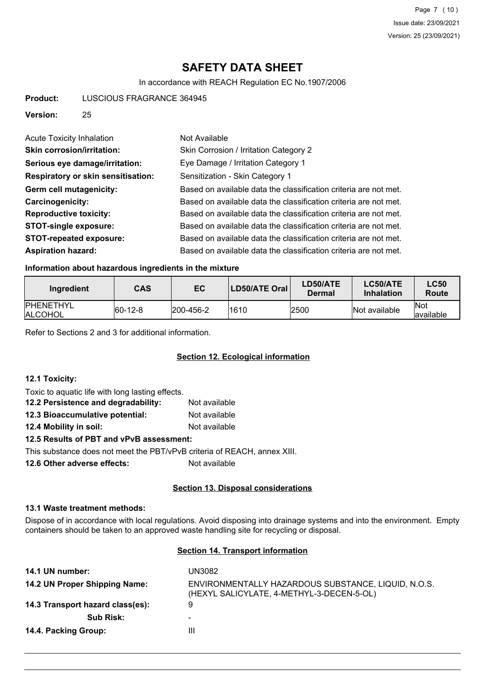# **SAFETY DATA SHEET**

In accordance with REACH Regulation EC No.1907/2006

**Product:** LUSCIOUS FRAGRANCE 364945

**Version:** 25

| <b>Acute Toxicity Inhalation</b>          | Not Available                                                    |
|-------------------------------------------|------------------------------------------------------------------|
| <b>Skin corrosion/irritation:</b>         | Skin Corrosion / Irritation Category 2                           |
| Serious eye damage/irritation:            | Eye Damage / Irritation Category 1                               |
| <b>Respiratory or skin sensitisation:</b> | Sensitization - Skin Category 1                                  |
| Germ cell mutagenicity:                   | Based on available data the classification criteria are not met. |
| <b>Carcinogenicity:</b>                   | Based on available data the classification criteria are not met. |
| <b>Reproductive toxicity:</b>             | Based on available data the classification criteria are not met. |
| <b>STOT-single exposure:</b>              | Based on available data the classification criteria are not met. |
| <b>STOT-repeated exposure:</b>            | Based on available data the classification criteria are not met. |
| <b>Aspiration hazard:</b>                 | Based on available data the classification criteria are not met. |

### **Information about hazardous ingredients in the mixture**

| Ingredient                          | CAS         | EC                | <b>LD50/ATE Oral</b> | LD50/ATE<br>Dermal | LC50/ATE<br><b>Inhalation</b> | <b>LC50</b><br>Route      |
|-------------------------------------|-------------|-------------------|----------------------|--------------------|-------------------------------|---------------------------|
| <b>IPHENETHYL</b><br><b>ALCOHOL</b> | $ 60-12-8 $ | $ 200 - 456 - 2 $ | 1610                 | 2500               | Not available                 | <b>INot</b><br>lavailable |

Refer to Sections 2 and 3 for additional information.

### **Section 12. Ecological information**

#### **12.1 Toxicity:**

Toxic to aquatic life with long lasting effects.

| 12.2 Persistence and degradability:      | Not available |  |  |  |
|------------------------------------------|---------------|--|--|--|
| 12.3 Bioaccumulative potential:          | Not available |  |  |  |
| 12.4 Mobility in soil:                   | Not available |  |  |  |
| 12.5 Results of PBT and vPvB assessment: |               |  |  |  |

This substance does not meet the PBT/vPvB criteria of REACH, annex XIII.

**12.6 Other adverse effects:** Not available

### **Section 13. Disposal considerations**

### **13.1 Waste treatment methods:**

Dispose of in accordance with local regulations. Avoid disposing into drainage systems and into the environment. Empty containers should be taken to an approved waste handling site for recycling or disposal.

## **Section 14. Transport information**

| 14.1 UN number:                  | UN3082                                                                                           |
|----------------------------------|--------------------------------------------------------------------------------------------------|
| 14.2 UN Proper Shipping Name:    | ENVIRONMENTALLY HAZARDOUS SUBSTANCE, LIQUID, N.O.S.<br>(HEXYL SALICYLATE, 4-METHYL-3-DECEN-5-OL) |
| 14.3 Transport hazard class(es): | 9                                                                                                |
| <b>Sub Risk:</b>                 | ۰                                                                                                |
| 14.4. Packing Group:             | Ш                                                                                                |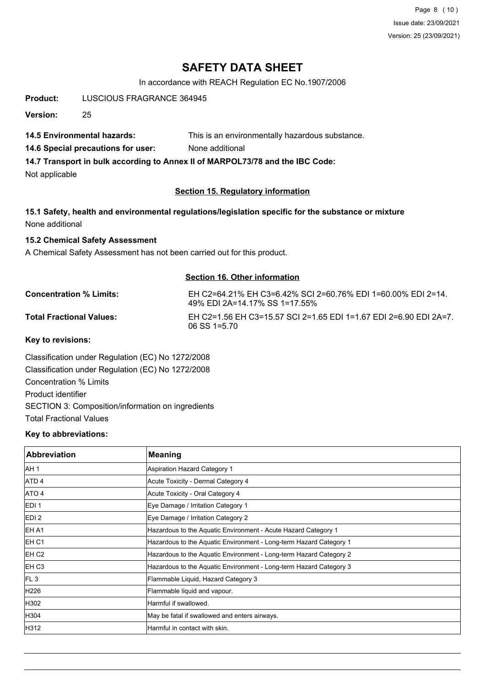Page 8 (10) Issue date: 23/09/2021 Version: 25 (23/09/2021)

# **SAFETY DATA SHEET**

In accordance with REACH Regulation EC No.1907/2006

**Product:** LUSCIOUS FRAGRANCE 364945

**Version:** 25

**14.5 Environmental hazards:** This is an environmentally hazardous substance.

**14.6 Special precautions for user:** None additional

**14.7 Transport in bulk according to Annex II of MARPOL73/78 and the IBC Code:**

Not applicable

## **Section 15. Regulatory information**

**15.1 Safety, health and environmental regulations/legislation specific for the substance or mixture** None additional

### **15.2 Chemical Safety Assessment**

A Chemical Safety Assessment has not been carried out for this product.

### **Section 16. Other information**

**Concentration % Limits:** EH C2=64.21% EH C3=6.42% SCI 2=60.76% EDI 1=60.00% EDI 2=14. 49% EDI 2A=14.17% SS 1=17.55% Total Fractional Values: EH C2=1.56 EH C3=15.57 SCI 2=1.65 EDI 1=1.67 EDI 2=6.90 EDI 2A=7. 06 SS 1=5.70

**Key to revisions:**

Classification under Regulation (EC) No 1272/2008 Classification under Regulation (EC) No 1272/2008 Concentration % Limits Product identifier SECTION 3: Composition/information on ingredients Total Fractional Values

### **Key to abbreviations:**

| <b>Abbreviation</b> | <b>Meaning</b>                                                     |
|---------------------|--------------------------------------------------------------------|
| IAH 1               | Aspiration Hazard Category 1                                       |
| <b>ATD4</b>         | Acute Toxicity - Dermal Category 4                                 |
| ATO 4               | Acute Toxicity - Oral Category 4                                   |
| EDI <sub>1</sub>    | Eye Damage / Irritation Category 1                                 |
| EDI <sub>2</sub>    | Eye Damage / Irritation Category 2                                 |
| EH A1               | Hazardous to the Aquatic Environment - Acute Hazard Category 1     |
| IEH C1              | Hazardous to the Aquatic Environment - Long-term Hazard Category 1 |
| EH C <sub>2</sub>   | Hazardous to the Aquatic Environment - Long-term Hazard Category 2 |
| IEH C3              | Hazardous to the Aquatic Environment - Long-term Hazard Category 3 |
| FL3                 | Flammable Liquid, Hazard Category 3                                |
| H226                | Flammable liquid and vapour.                                       |
| H302                | Harmful if swallowed.                                              |
| H304                | May be fatal if swallowed and enters airways.                      |
| H312                | Harmful in contact with skin.                                      |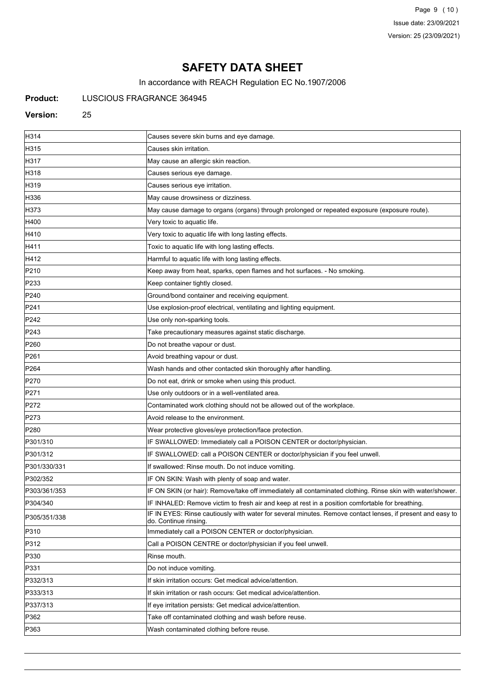Page 9 (10) Issue date: 23/09/2021 Version: 25 (23/09/2021)

# **SAFETY DATA SHEET**

In accordance with REACH Regulation EC No.1907/2006

## **Product:** LUSCIOUS FRAGRANCE 364945

#### **Version:** 25

| H314             | Causes severe skin burns and eye damage.                                                                                           |
|------------------|------------------------------------------------------------------------------------------------------------------------------------|
| H315             | Causes skin irritation.                                                                                                            |
| H317             | May cause an allergic skin reaction.                                                                                               |
| H318             | Causes serious eye damage.                                                                                                         |
| H319             | Causes serious eye irritation.                                                                                                     |
| H336             | May cause drowsiness or dizziness.                                                                                                 |
| H373             | May cause damage to organs (organs) through prolonged or repeated exposure (exposure route).                                       |
| H400             | Very toxic to aquatic life.                                                                                                        |
| H410             | Very toxic to aquatic life with long lasting effects.                                                                              |
| H411             | Toxic to aquatic life with long lasting effects.                                                                                   |
| H412             | Harmful to aquatic life with long lasting effects.                                                                                 |
| P210             | Keep away from heat, sparks, open flames and hot surfaces. - No smoking.                                                           |
| P233             | Keep container tightly closed.                                                                                                     |
| P240             | Ground/bond container and receiving equipment.                                                                                     |
| P241             | Use explosion-proof electrical, ventilating and lighting equipment.                                                                |
| P242             | Use only non-sparking tools.                                                                                                       |
| P243             | Take precautionary measures against static discharge.                                                                              |
| P <sub>260</sub> | Do not breathe vapour or dust.                                                                                                     |
| P261             | Avoid breathing vapour or dust.                                                                                                    |
| P <sub>264</sub> | Wash hands and other contacted skin thoroughly after handling.                                                                     |
| P270             | Do not eat, drink or smoke when using this product.                                                                                |
| P271             | Use only outdoors or in a well-ventilated area.                                                                                    |
| P272             | Contaminated work clothing should not be allowed out of the workplace.                                                             |
| P273             | Avoid release to the environment.                                                                                                  |
| P280             | Wear protective gloves/eye protection/face protection.                                                                             |
| P301/310         | IF SWALLOWED: Immediately call a POISON CENTER or doctor/physician.                                                                |
| P301/312         | IF SWALLOWED: call a POISON CENTER or doctor/physician if you feel unwell.                                                         |
| P301/330/331     | If swallowed: Rinse mouth. Do not induce vomiting.                                                                                 |
| P302/352         | IF ON SKIN: Wash with plenty of soap and water.                                                                                    |
| P303/361/353     | IF ON SKIN (or hair): Remove/take off immediately all contaminated clothing. Rinse skin with water/shower.                         |
| P304/340         | IF INHALED: Remove victim to fresh air and keep at rest in a position comfortable for breathing.                                   |
| P305/351/338     | IF IN EYES: Rinse cautiously with water for several minutes. Remove contact lenses, if present and easy to<br>do. Continue rinsing |
| P310             | Immediately call a POISON CENTER or doctor/physician.                                                                              |
| P312             | Call a POISON CENTRE or doctor/physician if you feel unwell.                                                                       |
| P330             | Rinse mouth.                                                                                                                       |
| P331             | Do not induce vomiting.                                                                                                            |
| P332/313         | If skin irritation occurs: Get medical advice/attention.                                                                           |
| P333/313         | If skin irritation or rash occurs: Get medical advice/attention.                                                                   |
| P337/313         | If eye irritation persists: Get medical advice/attention.                                                                          |
| P362             | Take off contaminated clothing and wash before reuse.                                                                              |
| P363             | Wash contaminated clothing before reuse.                                                                                           |
|                  |                                                                                                                                    |